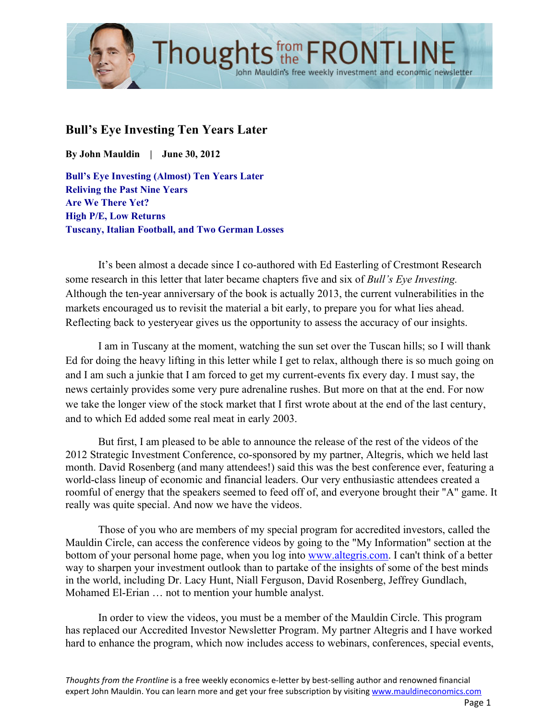

# **Bull's Eye Investing Ten Years Later**

**By John Mauldin | June 30, 2012**

**Bull's Eye Investing (Almost) Ten Years Later Reliving the Past Nine Years Are We There Yet? High P/E, Low Returns Tuscany, Italian Football, and Two German Losses**

It's been almost a decade since I co-authored with Ed Easterling of Crestmont Research some research in this letter that later became chapters five and six of *Bull's Eye Investing.* Although the ten-year anniversary of the book is actually 2013, the current vulnerabilities in the markets encouraged us to revisit the material a bit early, to prepare you for what lies ahead. Reflecting back to yesteryear gives us the opportunity to assess the accuracy of our insights.

I am in Tuscany at the moment, watching the sun set over the Tuscan hills; so I will thank Ed for doing the heavy lifting in this letter while I get to relax, although there is so much going on and I am such a junkie that I am forced to get my current-events fix every day. I must say, the news certainly provides some very pure adrenaline rushes. But more on that at the end. For now we take the longer view of the stock market that I first wrote about at the end of the last century, and to which Ed added some real meat in early 2003.

But first, I am pleased to be able to announce the release of the rest of the videos of the 2012 Strategic Investment Conference, co-sponsored by my partner, Altegris, which we held last month. David Rosenberg (and many attendees!) said this was the best conference ever, featuring a world-class lineup of economic and financial leaders. Our very enthusiastic attendees created a roomful of energy that the speakers seemed to feed off of, and everyone brought their "A" game. It really was quite special. And now we have the videos.

Those of you who are members of my special program for accredited investors, called the Mauldin Circle, can access the conference videos by going to the "My Information" section at the bottom of your personal home page, when you log into www.altegris.com. I can't think of a better way to sharpen your investment outlook than to partake of the insights of some of the best minds in the world, including Dr. Lacy Hunt, Niall Ferguson, David Rosenberg, Jeffrey Gundlach, Mohamed El-Erian … not to mention your humble analyst.

In order to view the videos, you must be a member of the Mauldin Circle. This program has replaced our Accredited Investor Newsletter Program. My partner Altegris and I have worked hard to enhance the program, which now includes access to webinars, conferences, special events,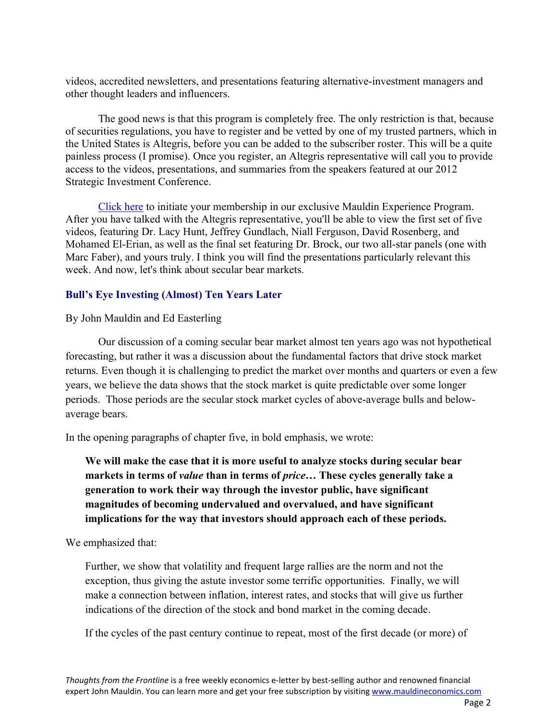videos, accredited newsletters, and presentations featuring alternative-investment managers and other thought leaders and influencers.

The good news is that this program is completely free. The only restriction is that, because of securities regulations, you have to register and be vetted by one of my trusted partners, which in the United States is Altegris, before you can be added to the subscriber roster. This will be a quite painless process (I promise). Once you register, an Altegris representative will call you to provide access to the videos, presentations, and summaries from the speakers featured at our 2012 Strategic Investment Conference.

Click here to initiate your membership in our exclusive Mauldin Experience Program. After you have talked with the Altegris representative, you'll be able to view the first set of five videos, featuring Dr. Lacy Hunt, Jeffrey Gundlach, Niall Ferguson, David Rosenberg, and Mohamed El-Erian, as well as the final set featuring Dr. Brock, our two all-star panels (one with Marc Faber), and yours truly. I think you will find the presentations particularly relevant this week. And now, let's think about secular bear markets.

### **Bull's Eye Investing (Almost) Ten Years Later**

By John Mauldin and Ed Easterling

Our discussion of a coming secular bear market almost ten years ago was not hypothetical forecasting, but rather it was a discussion about the fundamental factors that drive stock market returns. Even though it is challenging to predict the market over months and quarters or even a few years, we believe the data shows that the stock market is quite predictable over some longer periods. Those periods are the secular stock market cycles of above-average bulls and belowaverage bears.

In the opening paragraphs of chapter five, in bold emphasis, we wrote:

**We will make the case that it is more useful to analyze stocks during secular bear markets in terms of** *value* **than in terms of** *price***… These cycles generally take a generation to work their way through the investor public, have significant magnitudes of becoming undervalued and overvalued, and have significant implications for the way that investors should approach each of these periods.**

We emphasized that:

Further, we show that volatility and frequent large rallies are the norm and not the exception, thus giving the astute investor some terrific opportunities. Finally, we will make a connection between inflation, interest rates, and stocks that will give us further indications of the direction of the stock and bond market in the coming decade.

If the cycles of the past century continue to repeat, most of the first decade (or more) of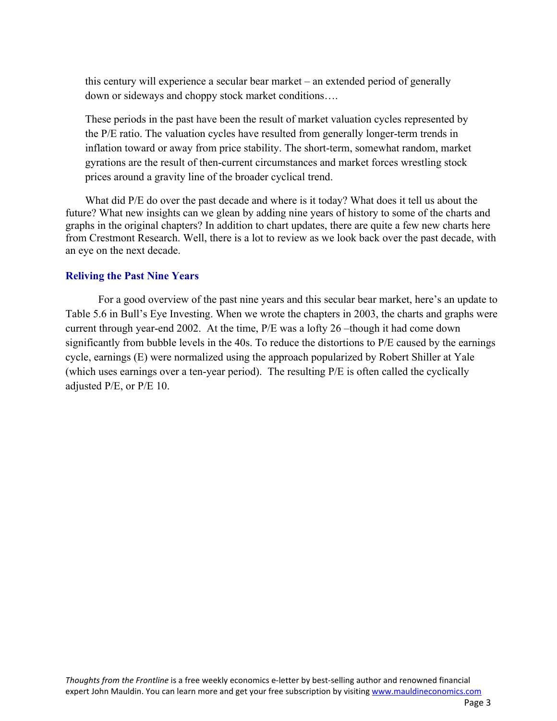this century will experience a secular bear market – an extended period of generally down or sideways and choppy stock market conditions….

These periods in the past have been the result of market valuation cycles represented by the P/E ratio. The valuation cycles have resulted from generally longer-term trends in inflation toward or away from price stability. The short-term, somewhat random, market gyrations are the result of then-current circumstances and market forces wrestling stock prices around a gravity line of the broader cyclical trend.

What did P/E do over the past decade and where is it today? What does it tell us about the future? What new insights can we glean by adding nine years of history to some of the charts and graphs in the original chapters? In addition to chart updates, there are quite a few new charts here from Crestmont Research. Well, there is a lot to review as we look back over the past decade, with an eye on the next decade.

#### **Reliving the Past Nine Years**

For a good overview of the past nine years and this secular bear market, here's an update to Table 5.6 in Bull's Eye Investing. When we wrote the chapters in 2003, the charts and graphs were current through year-end 2002. At the time, P/E was a lofty 26 –though it had come down significantly from bubble levels in the 40s. To reduce the distortions to P/E caused by the earnings cycle, earnings (E) were normalized using the approach popularized by Robert Shiller at Yale (which uses earnings over a ten-year period). The resulting P/E is often called the cyclically adjusted P/E, or P/E 10.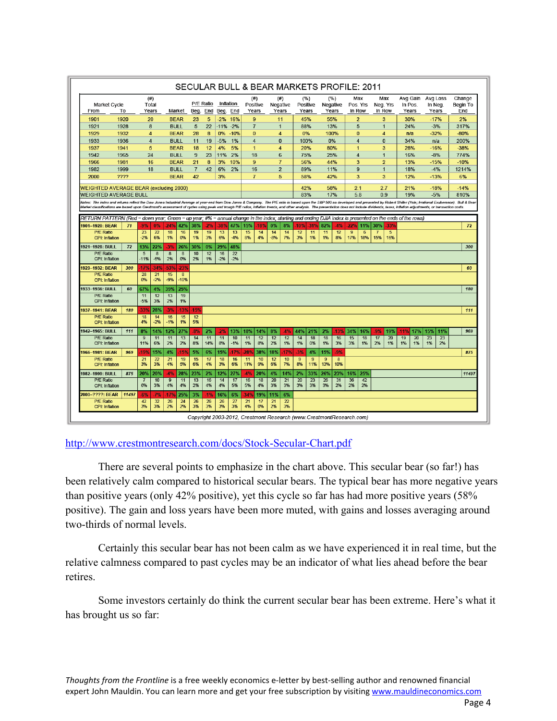| <b>Market Cycle</b><br>From                                                                                                                                                                                                                                                                                                                                                                                                                                      | To           | (# )<br>Total<br>Years |                       | Market                     |             | P/E Ratio<br>Beg.    | End      | Inflation<br>Beg. End |             | Positive<br>Years | (# )           | (# )<br>Negative<br>Years |           | (%)<br>Positive<br>Years |                      | (%)<br>Negative<br>Years |          | Max<br>Pos. Yrs<br>In Row |           | Max<br>Neg. Yrs<br>In Row      |           | Avg Gain<br>In Pos.<br>Years |           | Avg Loss<br>In Neg<br>Years | Change<br>Begin To<br>End      |
|------------------------------------------------------------------------------------------------------------------------------------------------------------------------------------------------------------------------------------------------------------------------------------------------------------------------------------------------------------------------------------------------------------------------------------------------------------------|--------------|------------------------|-----------------------|----------------------------|-------------|----------------------|----------|-----------------------|-------------|-------------------|----------------|---------------------------|-----------|--------------------------|----------------------|--------------------------|----------|---------------------------|-----------|--------------------------------|-----------|------------------------------|-----------|-----------------------------|--------------------------------|
| 1901                                                                                                                                                                                                                                                                                                                                                                                                                                                             | 1920         | 20                     |                       | <b>BEAR</b>                |             | 23                   | 5        | $-2%$                 | 16%         |                   | 9              | 11                        |           | 45%                      |                      | 55%                      |          | $\overline{2}$            |           | 3                              |           | 30%                          |           | $-17%$                      | 2%                             |
| 1921                                                                                                                                                                                                                                                                                                                                                                                                                                                             | 1928         | 8                      |                       | <b>BULL</b>                |             | 5                    | 22       | $-11%$                | $-2%$       |                   | $\overline{7}$ | $\mathbf{1}$              |           | 88%                      |                      | 13%                      |          | 5                         |           | $\mathbf{1}$                   |           | 24%                          |           | $-3%$                       | 317%                           |
| 1929                                                                                                                                                                                                                                                                                                                                                                                                                                                             | 1932         | $\overline{4}$         |                       | <b>BEAR</b>                |             | 28                   | 8        | 0%                    | $-10%$      |                   | $\overline{0}$ | $\overline{4}$            |           | 0%                       |                      | 100%                     |          | $\overline{0}$            |           | $\overline{4}$                 |           | n/a                          |           | $-32%$                      | $-80%$                         |
| 1933                                                                                                                                                                                                                                                                                                                                                                                                                                                             | 1936         | $\overline{4}$         |                       | <b>BULL</b>                |             | 11                   | 19       | $-5%$                 | 1%          |                   | 4              | $\mathbf 0$               |           | 100%                     |                      | 0%                       |          | $\overline{4}$            |           | $\mathbf{0}$                   |           | 34%                          |           | n/a                         | 200%                           |
| 1937                                                                                                                                                                                                                                                                                                                                                                                                                                                             | 1941         | 5                      |                       | <b>BEAR</b>                |             | 18                   | 12       | 4%                    | 5%          |                   | $\mathbf{1}$   | $\overline{4}$            |           | 20%                      |                      | 80%                      |          | $\mathbf{1}$              |           | 3                              |           | 28%                          |           | $-16%$                      | $-38%$                         |
| 1942                                                                                                                                                                                                                                                                                                                                                                                                                                                             | 1965         | 24                     |                       | <b>BULL</b>                |             | 9                    | 23       | 11%                   | 2%          |                   | 18             | 6<br>$\overline{7}$       |           | 75%                      |                      | 25%                      |          | $\overline{4}$            |           | $\overline{1}$                 |           | 16%                          |           | $-8%$                       | 774%                           |
| 1966<br>1982                                                                                                                                                                                                                                                                                                                                                                                                                                                     | 1981<br>1999 | 16<br>18               |                       | <b>BEAR</b><br><b>BULL</b> |             | 21<br>$\overline{7}$ | 8<br>42  | 3%<br>6%              | 10%<br>2%   |                   | 9<br>16        | $\overline{2}$            |           | 56%<br>89%               |                      | 44%<br>11%               |          | 3<br>9                    |           | $\overline{2}$<br>$\mathbf{1}$ |           | 13%<br>18%                   |           | $-15%$<br>$-4%$             | $-10%$<br>1214%                |
| 2000                                                                                                                                                                                                                                                                                                                                                                                                                                                             | ????         |                        |                       | <b>BEAR</b>                |             | 42                   |          | 3%                    |             |                   | $\overline{7}$ | 5                         |           | 58%                      |                      | 42%                      |          | 3                         |           | 3                              |           | 12%                          |           | $-13%$                      | 6%                             |
| <b>WEIGHTED AVERAGE BEAR (excluding 2000)</b>                                                                                                                                                                                                                                                                                                                                                                                                                    |              |                        |                       |                            |             |                      |          |                       |             |                   |                | 42%                       |           | 58%                      |                      | 2.1                      |          | 2.7                       |           | 21%                            |           | $-18%$                       | $-14%$    |                             |                                |
| <b>WEIGHTED AVERAGE BULL</b>                                                                                                                                                                                                                                                                                                                                                                                                                                     |              |                        |                       |                            |             |                      |          |                       |             |                   | 83%            |                           | 17%       |                          | 5.8                  |                          | 0.9      |                           | 19%       |                                | $-5%$     | 810%                         |           |                             |                                |
| Notes: The index and returns reflect the Dow Jones Industrial Average at year-end from Dow Jones & Company. The P/E ratio is based upon the S&P 500 as developed and presented by Robert Shiller (Yale; Irrational Exuberance)<br>Market classifications are based upon Crestmont's assessment of cycles using peak and trough P/E ratios, inflation trends, and other analysis. The presentation does not include dividends, taxes, inflation adjustments, or t |              |                        |                       |                            |             |                      |          |                       |             |                   |                |                           |           |                          |                      |                          |          |                           |           |                                |           |                              |           |                             |                                |
| RETURN PATTERN (Red = down year; Green = up year; #% = annual change in the index; starting and ending DJIA index is presented on the ends of the rows)                                                                                                                                                                                                                                                                                                          |              |                        |                       |                            |             |                      |          |                       |             |                   |                |                           |           |                          |                      |                          |          |                           |           |                                |           |                              |           |                             |                                |
| 1901-1920: BEAR                                                                                                                                                                                                                                                                                                                                                                                                                                                  | 71           | .9%                    | 0%                    | -24%                       | 42%         | 38%                  | -2%      | 389                   | 47%         | 15%               | .18%           | 0%                        | 8%        | 10%                      | 319                  | 82%                      | 4%       | -22%                      | 11%       | <b>30%</b>                     | -33%      |                              |           |                             | 72                             |
| <b>P/E Ratio</b><br><b>CPI: Inflation</b>                                                                                                                                                                                                                                                                                                                                                                                                                        |              | 23<br>$-2%$            | $\overline{22}$<br>6% | 18<br>1%                   | 16<br>0%    | 19<br>1%             | 19<br>3% | 13<br>6%              | 13<br>$-4%$ | 15<br>8%          | 14<br>4%       | 14<br>$-8%$               | 14<br>7%  | 12<br>3%                 | 11<br>1%             | 11<br>1%                 | 12<br>8% | 9<br>17%                  | 6<br>18%  | 7<br>15%                       | 5<br>16%  |                              |           |                             |                                |
| 1921-1928: BULL                                                                                                                                                                                                                                                                                                                                                                                                                                                  | 72           | 13%                    | 22%                   | 3%                         | 26%         | 30%                  | 0%       | 29%                   | 48%         |                   |                |                           |           |                          |                      |                          |          |                           |           |                                |           |                              |           |                             | 300                            |
| P/E Ratio<br><b>CPI: Inflation</b>                                                                                                                                                                                                                                                                                                                                                                                                                               |              | 5<br>$-11%$            | 8<br>$-6%$            | 8<br>2%                    | 8<br>0%     | 10<br>2%             | 12<br>1% | 16<br>$-2%$           | 22<br>$-2%$ |                   |                |                           |           |                          |                      |                          |          |                           |           |                                |           |                              |           |                             |                                |
| 1929-1932: BEAR                                                                                                                                                                                                                                                                                                                                                                                                                                                  | 300          | .17%                   | $-34%$                | 53%                        | 23%         |                      |          |                       |             |                   |                |                           |           |                          |                      |                          |          |                           |           |                                |           |                              |           |                             |                                |
| <b>P/E Ratio</b><br><b>CPI: Inflation</b>                                                                                                                                                                                                                                                                                                                                                                                                                        |              | 28                     | 21                    |                            |             |                      |          |                       |             |                   |                |                           |           |                          |                      |                          |          |                           |           |                                |           |                              |           |                             |                                |
|                                                                                                                                                                                                                                                                                                                                                                                                                                                                  |              | 0%                     | $-2%$                 | 15<br>$-9%$                | 8<br>$-10%$ |                      |          |                       |             |                   |                |                           |           |                          |                      |                          |          |                           |           |                                |           |                              |           |                             |                                |
| 1933-1936: BULL                                                                                                                                                                                                                                                                                                                                                                                                                                                  | 60           | 67%                    | 4%                    | 39%                        | 25%         |                      |          |                       |             |                   |                |                           |           |                          |                      |                          |          |                           |           |                                |           |                              |           |                             |                                |
| <b>P/E Ratio</b><br>CPI: Inflation                                                                                                                                                                                                                                                                                                                                                                                                                               |              | 11<br>$-5%$            | 12<br>3%              | 13<br>2%                   | 19<br>1%    |                      |          |                       |             |                   |                |                           |           |                          |                      |                          |          |                           |           |                                |           |                              |           |                             |                                |
| 1937-1941: BEAR                                                                                                                                                                                                                                                                                                                                                                                                                                                  | 180          | 33%                    | 28%                   | $-3%$                      | -13%        | -15°                 |          |                       |             |                   |                |                           |           |                          |                      |                          |          |                           |           |                                |           |                              |           |                             |                                |
| <b>P/E Ratio</b>                                                                                                                                                                                                                                                                                                                                                                                                                                                 |              | 18                     | 14                    | 16                         | 15          | 12                   |          |                       |             |                   |                |                           |           |                          |                      |                          |          |                           |           |                                |           |                              |           |                             |                                |
| <b>CPI: Inflation</b><br>1942-1965: BULL                                                                                                                                                                                                                                                                                                                                                                                                                         | 111          | 4%                     | $-2%$                 | $-1%$                      | 1%          | 5%                   |          |                       |             |                   |                |                           |           |                          |                      |                          | $-13%$   |                           |           | -9%                            |           |                              |           |                             |                                |
| <b>P/E Ratio</b>                                                                                                                                                                                                                                                                                                                                                                                                                                                 |              | 8%<br>$\overline{9}$   | 14%<br>11             | 12%<br>11                  | 27%<br>13   | -8%<br>14            | 2%<br>11 | 2%<br>11              | 13%<br>10   | 18%<br>11         | 14%<br>12      | 8%<br>12                  | -4%<br>12 | 44%<br>14                | 21%<br>18            | 2%<br>18                 | 16       | 34%<br>15                 | 16%<br>18 | 17                             | 19%<br>20 | $-11%$<br>17%<br>19<br>20    | 15%<br>23 | 11%<br>23                   |                                |
| <b>CPI: Inflation</b>                                                                                                                                                                                                                                                                                                                                                                                                                                            |              | 11%                    | 6%                    | 2%                         | 2%          | 8%                   | 14%      | 8%                    | $-1%$       | 1%                | 8%             | 2%                        | 1%        | 1%                       | 0%                   | 1%                       | 3%       | 3%                        | 1%        | 2%                             | 1%        | 1%<br>1%                     | 1%        | 2%                          |                                |
| 1966-1981: BEAR                                                                                                                                                                                                                                                                                                                                                                                                                                                  | 969          | .19%<br>21             | 15%                   | 4%                         | .15%        | 5%                   | 6%       | 15%                   | .17%        | -28%              | 38%            | 18%                       | .17%      | 3%                       | 4%<br>$\overline{9}$ | 15%<br>9                 | .9%<br>8 |                           |           |                                |           |                              |           |                             |                                |
| <b>P/E Ratio</b><br><b>CPI: Inflation</b>                                                                                                                                                                                                                                                                                                                                                                                                                        |              | 3%                     | 22<br>3%              | 21<br>4%                   | 19<br>5%    | 15<br>6%             | 17<br>4% | 18<br>3%              | 16<br>6%    | 11<br>11%         | 10<br>9%       | 12<br>6%                  | 10<br>7%  | $\boldsymbol{9}$<br>8%   | 11%                  | 13%                      | 10%      |                           |           |                                |           |                              |           |                             | 60<br>180<br>111<br>969<br>875 |
| 1982-1999: BULL                                                                                                                                                                                                                                                                                                                                                                                                                                                  | 875          | 20%                    | 20%                   | 4%                         | 28%         | 23%                  | 2%       | 12%                   | 27%         | 4%                | 20%            | 4%                        | 14%       | 2%                       | 33%                  | 26%                      | 23%      | 16%                       | 25%       |                                |           |                              |           |                             |                                |
| <b>P/E Ratio</b><br><b>CPI: Inflation</b>                                                                                                                                                                                                                                                                                                                                                                                                                        |              | 6%                     | 10<br>3%              | 9<br>4%                    | 11<br>4%    | 13<br>2%             | 16<br>4% | 14<br>4%              | 17<br>5%    | 16<br>5%          | 18<br>4%       | 20<br>3%                  | 21<br>3%  | 20<br>3%                 | 23<br>3%             | 26<br>3%                 | 31<br>2% | 36<br>2%                  | 42<br>2%  |                                |           |                              |           |                             |                                |
| 2000-????: BEAR                                                                                                                                                                                                                                                                                                                                                                                                                                                  | 11497        | -6%                    | $-7%$                 | .17%                       | 25%         | 3%                   | -1%      | 16%                   | 6%          | $-34%$            | 19%            | 11%                       | 6%        |                          |                      |                          |          |                           |           |                                |           |                              |           |                             | 11497                          |

#### http://www.crestmontresearch.com/docs/Stock-Secular-Chart.pdf

There are several points to emphasize in the chart above. This secular bear (so far!) has been relatively calm compared to historical secular bears. The typical bear has more negative years than positive years (only 42% positive), yet this cycle so far has had more positive years (58% positive). The gain and loss years have been more muted, with gains and losses averaging around two-thirds of normal levels.

Certainly this secular bear has not been calm as we have experienced it in real time, but the relative calmness compared to past cycles may be an indicator of what lies ahead before the bear retires.

Some investors certainly do think the current secular bear has been extreme. Here's what it has brought us so far: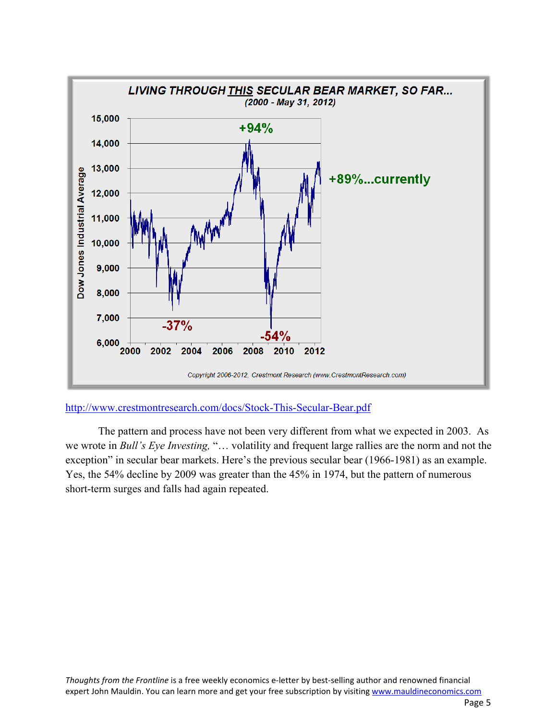

http://www.crestmontresearch.com/docs/Stock-This-Secular-Bear.pdf

The pattern and process have not been very different from what we expected in 2003. As we wrote in *Bull's Eye Investing,* "… volatility and frequent large rallies are the norm and not the exception" in secular bear markets. Here's the previous secular bear (1966-1981) as an example. Yes, the 54% decline by 2009 was greater than the 45% in 1974, but the pattern of numerous short-term surges and falls had again repeated.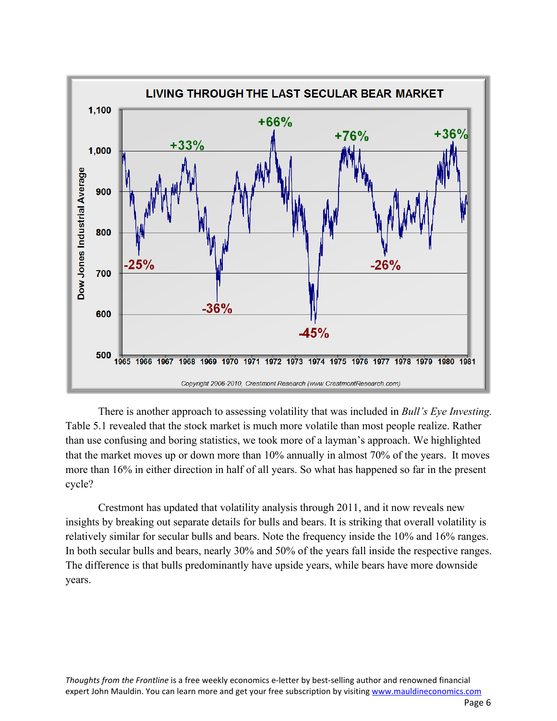

There is another approach to assessing volatility that was included in *Bull's Eye Investing.* Table 5.1 revealed that the stock market is much more volatile than most people realize. Rather than use confusing and boring statistics, we took more of a layman's approach. We highlighted that the market moves up or down more than 10% annually in almost 70% of the years. It moves more than 16% in either direction in half of all years. So what has happened so far in the present cycle?

Crestmont has updated that volatility analysis through 2011, and it now reveals new insights by breaking out separate details for bulls and bears. It is striking that overall volatility is relatively similar for secular bulls and bears. Note the frequency inside the 10% and 16% ranges. In both secular bulls and bears, nearly 30% and 50% of the years fall inside the respective ranges. The difference is that bulls predominantly have upside years, while bears have more downside years.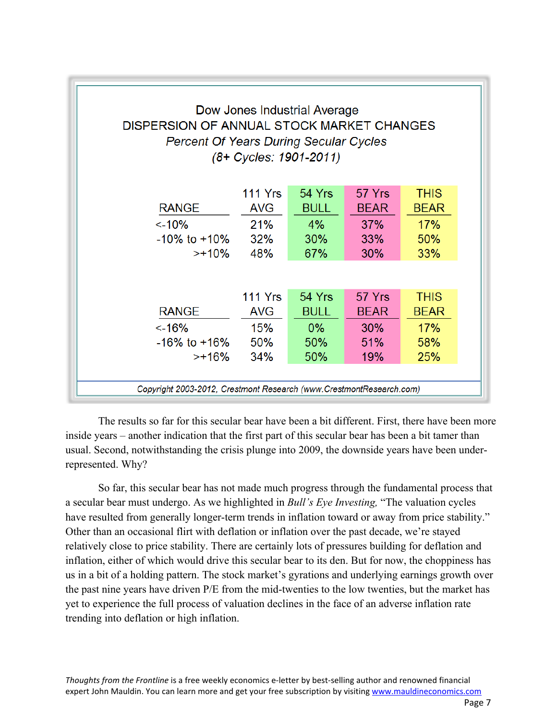| DISPERSION OF ANNUAL STOCK MARKET CHANGES<br><b>Percent Of Years During Secular Cycles</b> |                | Dow Jones Industrial Average<br>(8+ Cycles: 1901-2011) |             |             |  |
|--------------------------------------------------------------------------------------------|----------------|--------------------------------------------------------|-------------|-------------|--|
|                                                                                            | 111 Yrs        | 54 Yrs                                                 | 57 Yrs      | <b>THIS</b> |  |
| <b>RANGE</b>                                                                               | <b>AVG</b>     | <b>BULL</b>                                            | <b>BEAR</b> | <b>BEAR</b> |  |
| $< -10%$                                                                                   | <b>21%</b>     | $4\%$                                                  | 37%         | 17%         |  |
| $-10\%$ to $+10\%$                                                                         | 32%            | 30%                                                    | <b>33%</b>  | 50%         |  |
| >+10%                                                                                      | 48%            | 67%                                                    | <b>30%</b>  | <b>33%</b>  |  |
|                                                                                            |                |                                                        |             |             |  |
|                                                                                            | <b>111 Yrs</b> | 54 Yrs                                                 | 57 Yrs      | <b>THIS</b> |  |
| <b>RANGE</b>                                                                               | <b>AVG</b>     | <b>BULL</b>                                            | <b>BEAR</b> | <b>BEAR</b> |  |
| $< -16%$                                                                                   | <b>15%</b>     | $0\%$                                                  | <b>30%</b>  | 17%         |  |
| $-16\%$ to $+16\%$                                                                         | 50%            | <b>50%</b>                                             | 51%         | 58%         |  |
| >+16%                                                                                      | <b>34%</b>     | 50%                                                    | 19%         | 25%         |  |
| Copyright 2003-2012, Crestmont Research (www.CrestmontResearch.com)                        |                |                                                        |             |             |  |

The results so far for this secular bear have been a bit different. First, there have been more inside years – another indication that the first part of this secular bear has been a bit tamer than usual. Second, notwithstanding the crisis plunge into 2009, the downside years have been underrepresented. Why?

So far, this secular bear has not made much progress through the fundamental process that a secular bear must undergo. As we highlighted in *Bull's Eye Investing,* "The valuation cycles have resulted from generally longer-term trends in inflation toward or away from price stability." Other than an occasional flirt with deflation or inflation over the past decade, we're stayed relatively close to price stability. There are certainly lots of pressures building for deflation and inflation, either of which would drive this secular bear to its den. But for now, the choppiness has us in a bit of a holding pattern. The stock market's gyrations and underlying earnings growth over the past nine years have driven P/E from the mid-twenties to the low twenties, but the market has yet to experience the full process of valuation declines in the face of an adverse inflation rate trending into deflation or high inflation.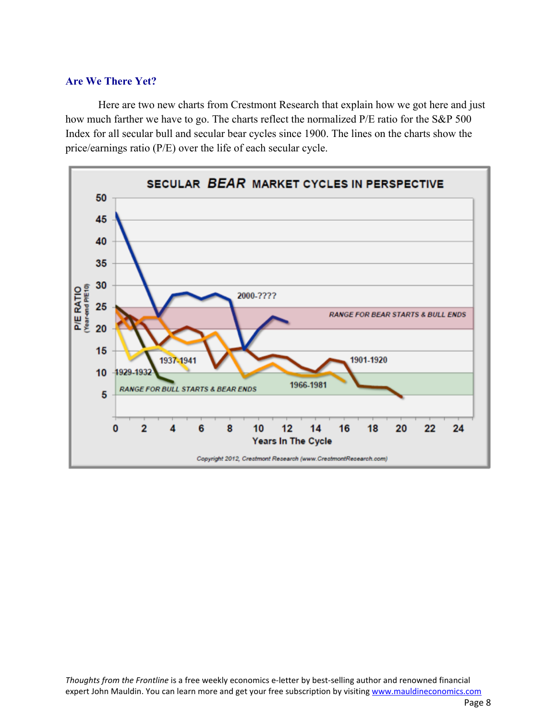### **Are We There Yet?**

Here are two new charts from Crestmont Research that explain how we got here and just how much farther we have to go. The charts reflect the normalized P/E ratio for the S&P 500 Index for all secular bull and secular bear cycles since 1900. The lines on the charts show the price/earnings ratio (P/E) over the life of each secular cycle.

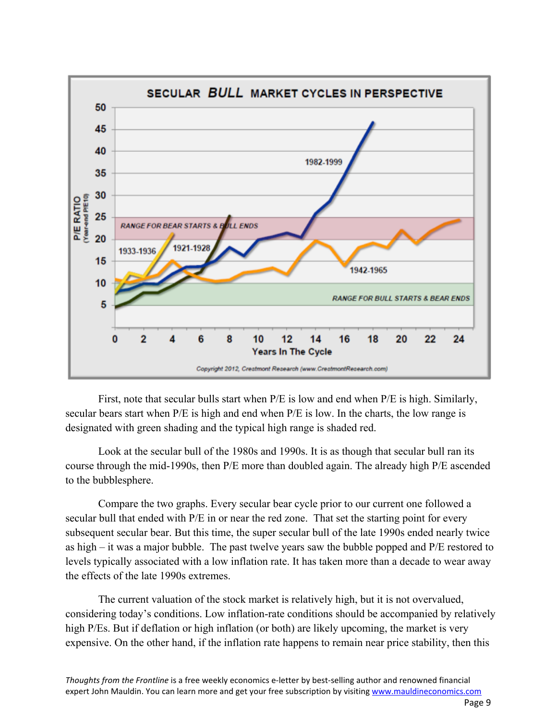

First, note that secular bulls start when P/E is low and end when P/E is high. Similarly, secular bears start when P/E is high and end when P/E is low. In the charts, the low range is designated with green shading and the typical high range is shaded red.

Look at the secular bull of the 1980s and 1990s. It is as though that secular bull ran its course through the mid-1990s, then P/E more than doubled again. The already high P/E ascended to the bubblesphere.

Compare the two graphs. Every secular bear cycle prior to our current one followed a secular bull that ended with P/E in or near the red zone. That set the starting point for every subsequent secular bear. But this time, the super secular bull of the late 1990s ended nearly twice as high – it was a major bubble. The past twelve years saw the bubble popped and P/E restored to levels typically associated with a low inflation rate. It has taken more than a decade to wear away the effects of the late 1990s extremes.

The current valuation of the stock market is relatively high, but it is not overvalued, considering today's conditions. Low inflation-rate conditions should be accompanied by relatively high P/Es. But if deflation or high inflation (or both) are likely upcoming, the market is very expensive. On the other hand, if the inflation rate happens to remain near price stability, then this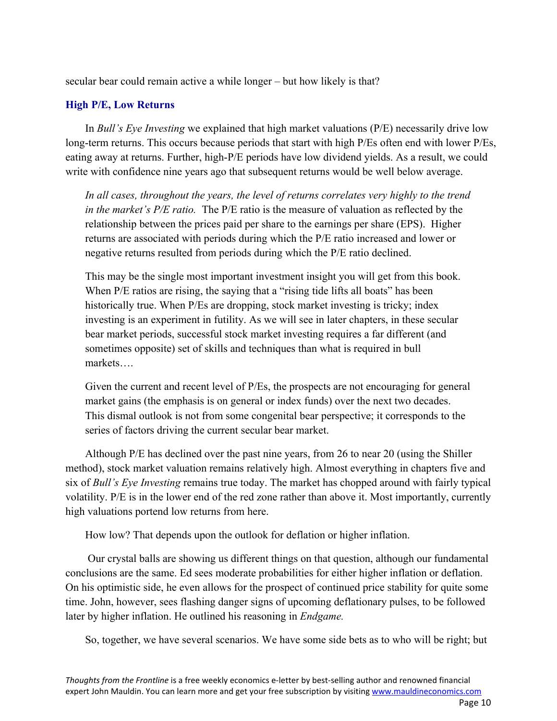secular bear could remain active a while longer – but how likely is that?

# **High P/E, Low Returns**

In *Bull's Eye Investing* we explained that high market valuations (P/E) necessarily drive low long-term returns. This occurs because periods that start with high P/Es often end with lower P/Es, eating away at returns. Further, high-P/E periods have low dividend yields. As a result, we could write with confidence nine years ago that subsequent returns would be well below average.

*In all cases, throughout the years, the level of returns correlates very highly to the trend in the market's P/E ratio.* The P/E ratio is the measure of valuation as reflected by the relationship between the prices paid per share to the earnings per share (EPS). Higher returns are associated with periods during which the P/E ratio increased and lower or negative returns resulted from periods during which the P/E ratio declined.

This may be the single most important investment insight you will get from this book. When P/E ratios are rising, the saying that a "rising tide lifts all boats" has been historically true. When P/Es are dropping, stock market investing is tricky; index investing is an experiment in futility. As we will see in later chapters, in these secular bear market periods, successful stock market investing requires a far different (and sometimes opposite) set of skills and techniques than what is required in bull markets….

Given the current and recent level of P/Es, the prospects are not encouraging for general market gains (the emphasis is on general or index funds) over the next two decades. This dismal outlook is not from some congenital bear perspective; it corresponds to the series of factors driving the current secular bear market.

Although P/E has declined over the past nine years, from 26 to near 20 (using the Shiller method), stock market valuation remains relatively high. Almost everything in chapters five and six of *Bull's Eye Investing* remains true today. The market has chopped around with fairly typical volatility. P/E is in the lower end of the red zone rather than above it. Most importantly, currently high valuations portend low returns from here.

How low? That depends upon the outlook for deflation or higher inflation.

 Our crystal balls are showing us different things on that question, although our fundamental conclusions are the same. Ed sees moderate probabilities for either higher inflation or deflation. On his optimistic side, he even allows for the prospect of continued price stability for quite some time. John, however, sees flashing danger signs of upcoming deflationary pulses, to be followed later by higher inflation. He outlined his reasoning in *Endgame.*

So, together, we have several scenarios. We have some side bets as to who will be right; but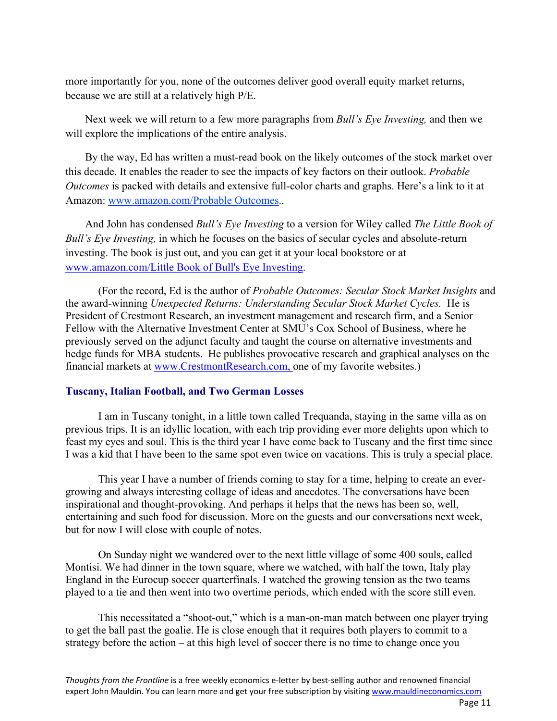more importantly for you, none of the outcomes deliver good overall equity market returns, because we are still at a relatively high P/E.

Next week we will return to a few more paragraphs from *Bull's Eye Investing,* and then we will explore the implications of the entire analysis.

By the way, Ed has written a must-read book on the likely outcomes of the stock market over this decade. It enables the reader to see the impacts of key factors on their outlook. *Probable Outcomes* is packed with details and extensive full-color charts and graphs. Here's a link to it at Amazon: www.amazon.com/Probable Outcomes..

And John has condensed *Bull's Eye Investing* to a version for Wiley called *The Little Book of Bull's Eye Investing,* in which he focuses on the basics of secular cycles and absolute-return investing. The book is just out, and you can get it at your local bookstore or at www.amazon.com/Little Book of Bull's Eye Investing.

(For the record, Ed is the author of *Probable Outcomes: Secular Stock Market Insights* and the award-winning *Unexpected Returns: Understanding Secular Stock Market Cycles.* He is President of Crestmont Research, an investment management and research firm, and a Senior Fellow with the Alternative Investment Center at SMU's Cox School of Business, where he previously served on the adjunct faculty and taught the course on alternative investments and hedge funds for MBA students. He publishes provocative research and graphical analyses on the financial markets at www.CrestmontResearch.com, one of my favorite websites.)

## **Tuscany, Italian Football, and Two German Losses**

I am in Tuscany tonight, in a little town called Trequanda, staying in the same villa as on previous trips. It is an idyllic location, with each trip providing ever more delights upon which to feast my eyes and soul. This is the third year I have come back to Tuscany and the first time since I was a kid that I have been to the same spot even twice on vacations. This is truly a special place.

This year I have a number of friends coming to stay for a time, helping to create an evergrowing and always interesting collage of ideas and anecdotes. The conversations have been inspirational and thought-provoking. And perhaps it helps that the news has been so, well, entertaining and such food for discussion. More on the guests and our conversations next week, but for now I will close with couple of notes.

On Sunday night we wandered over to the next little village of some 400 souls, called Montisi. We had dinner in the town square, where we watched, with half the town, Italy play England in the Eurocup soccer quarterfinals. I watched the growing tension as the two teams played to a tie and then went into two overtime periods, which ended with the score still even.

This necessitated a "shoot-out," which is a man-on-man match between one player trying to get the ball past the goalie. He is close enough that it requires both players to commit to a strategy before the action – at this high level of soccer there is no time to change once you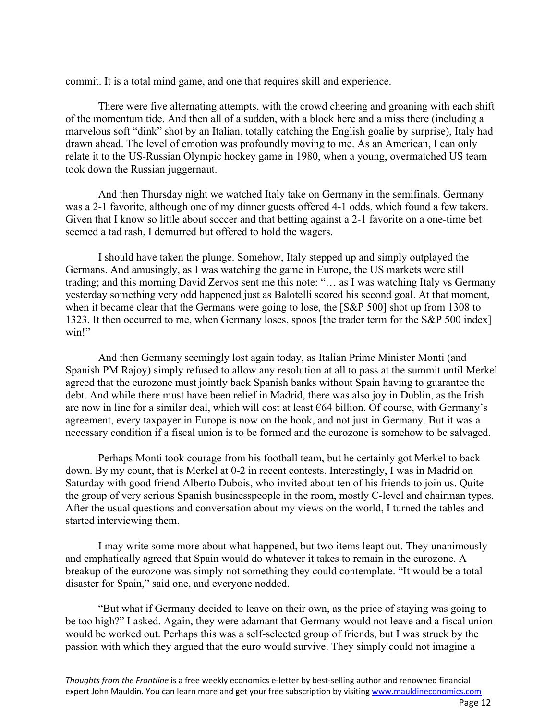commit. It is a total mind game, and one that requires skill and experience.

There were five alternating attempts, with the crowd cheering and groaning with each shift of the momentum tide. And then all of a sudden, with a block here and a miss there (including a marvelous soft "dink" shot by an Italian, totally catching the English goalie by surprise), Italy had drawn ahead. The level of emotion was profoundly moving to me. As an American, I can only relate it to the US-Russian Olympic hockey game in 1980, when a young, overmatched US team took down the Russian juggernaut.

And then Thursday night we watched Italy take on Germany in the semifinals. Germany was a 2-1 favorite, although one of my dinner guests offered 4-1 odds, which found a few takers. Given that I know so little about soccer and that betting against a 2-1 favorite on a one-time bet seemed a tad rash, I demurred but offered to hold the wagers.

I should have taken the plunge. Somehow, Italy stepped up and simply outplayed the Germans. And amusingly, as I was watching the game in Europe, the US markets were still trading; and this morning David Zervos sent me this note: "… as I was watching Italy vs Germany yesterday something very odd happened just as Balotelli scored his second goal. At that moment, when it became clear that the Germans were going to lose, the [S&P 500] shot up from 1308 to 1323. It then occurred to me, when Germany loses, spoos [the trader term for the S&P 500 index] win!"

And then Germany seemingly lost again today, as Italian Prime Minister Monti (and Spanish PM Rajoy) simply refused to allow any resolution at all to pass at the summit until Merkel agreed that the eurozone must jointly back Spanish banks without Spain having to guarantee the debt. And while there must have been relief in Madrid, there was also joy in Dublin, as the Irish are now in line for a similar deal, which will cost at least €64 billion. Of course, with Germany's agreement, every taxpayer in Europe is now on the hook, and not just in Germany. But it was a necessary condition if a fiscal union is to be formed and the eurozone is somehow to be salvaged.

Perhaps Monti took courage from his football team, but he certainly got Merkel to back down. By my count, that is Merkel at 0-2 in recent contests. Interestingly, I was in Madrid on Saturday with good friend Alberto Dubois, who invited about ten of his friends to join us. Quite the group of very serious Spanish businesspeople in the room, mostly C-level and chairman types. After the usual questions and conversation about my views on the world, I turned the tables and started interviewing them.

I may write some more about what happened, but two items leapt out. They unanimously and emphatically agreed that Spain would do whatever it takes to remain in the eurozone. A breakup of the eurozone was simply not something they could contemplate. "It would be a total disaster for Spain," said one, and everyone nodded.

"But what if Germany decided to leave on their own, as the price of staying was going to be too high?" I asked. Again, they were adamant that Germany would not leave and a fiscal union would be worked out. Perhaps this was a self-selected group of friends, but I was struck by the passion with which they argued that the euro would survive. They simply could not imagine a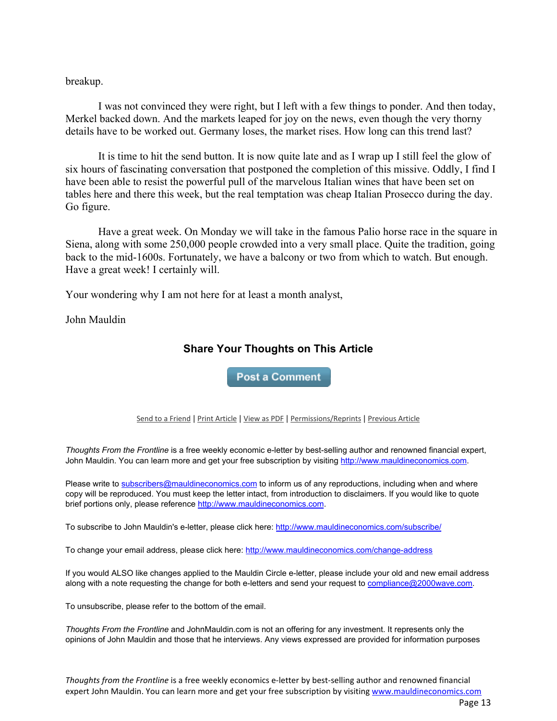breakup.

I was not convinced they were right, but I left with a few things to ponder. And then today, Merkel backed down. And the markets leaped for joy on the news, even though the very thorny details have to be worked out. Germany loses, the market rises. How long can this trend last?

It is time to hit the send button. It is now quite late and as I wrap up I still feel the glow of six hours of fascinating conversation that postponed the completion of this missive. Oddly, I find I have been able to resist the powerful pull of the marvelous Italian wines that have been set on tables here and there this week, but the real temptation was cheap Italian Prosecco during the day. Go figure.

Have a great week. On Monday we will take in the famous Palio horse race in the square in Siena, along with some 250,000 people crowded into a very small place. Quite the tradition, going back to the mid-1600s. Fortunately, we have a balcony or two from which to watch. But enough. Have a great week! I certainly will.

Your wondering why I am not here for at least a month analyst,

John Mauldin

# **Share Your Thoughts on This Article**

**Post a Comment** 

#### Send to a Friend | Print Article | View as PDF | Permissions/Reprints | Previous Article

*Thoughts From the Frontline* is a free weekly economic e-letter by best-selling author and renowned financial expert, John Mauldin. You can learn more and get your free subscription by visiting http://www.mauldineconomics.com.

Please write to subscribers@mauldineconomics.com to inform us of any reproductions, including when and where copy will be reproduced. You must keep the letter intact, from introduction to disclaimers. If you would like to quote brief portions only, please reference http://www.mauldineconomics.com.

To subscribe to John Mauldin's e-letter, please click here: http://www.mauldineconomics.com/subscribe/

To change your email address, please click here: http://www.mauldineconomics.com/change-address

If you would ALSO like changes applied to the Mauldin Circle e-letter, please include your old and new email address along with a note requesting the change for both e-letters and send your request to compliance@2000wave.com.

To unsubscribe, please refer to the bottom of the email.

*Thoughts From the Frontline* and JohnMauldin.com is not an offering for any investment. It represents only the opinions of John Mauldin and those that he interviews. Any views expressed are provided for information purposes